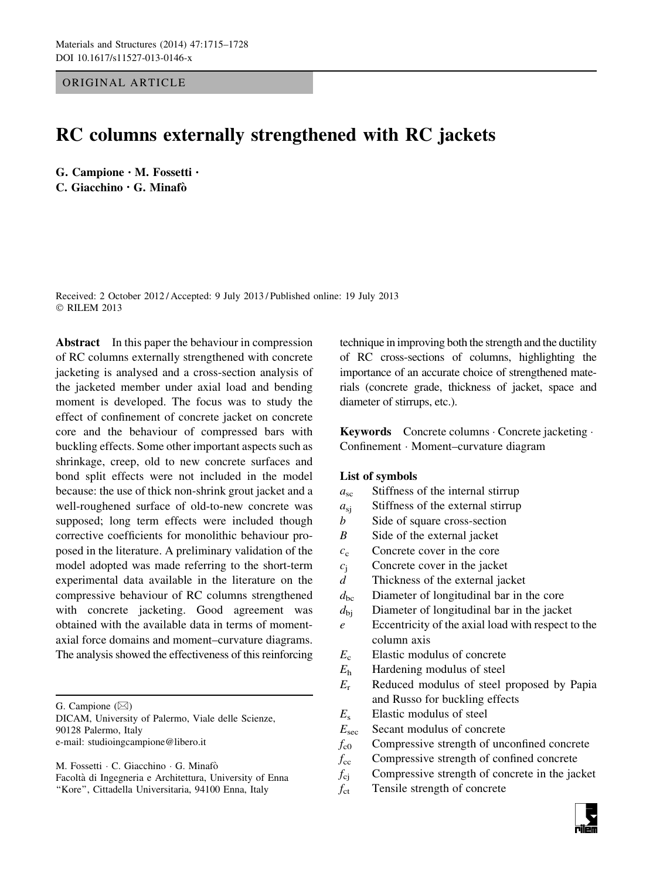ORIGINAL ARTICLE

# RC columns externally strengthened with RC jackets

G. Campione • M. Fossetti • C. Giacchino · G. Minafò

Received: 2 October 2012 / Accepted: 9 July 2013 / Published online: 19 July 2013 © RILEM 2013

Abstract In this paper the behaviour in compression of RC columns externally strengthened with concrete jacketing is analysed and a cross-section analysis of the jacketed member under axial load and bending moment is developed. The focus was to study the effect of confinement of concrete jacket on concrete core and the behaviour of compressed bars with buckling effects. Some other important aspects such as shrinkage, creep, old to new concrete surfaces and bond split effects were not included in the model because: the use of thick non-shrink grout jacket and a well-roughened surface of old-to-new concrete was supposed; long term effects were included though corrective coefficients for monolithic behaviour proposed in the literature. A preliminary validation of the model adopted was made referring to the short-term experimental data available in the literature on the compressive behaviour of RC columns strengthened with concrete jacketing. Good agreement was obtained with the available data in terms of momentaxial force domains and moment–curvature diagrams. The analysis showed the effectiveness of this reinforcing

G. Campione  $(\boxtimes)$ 

DICAM, University of Palermo, Viale delle Scienze, 90128 Palermo, Italy e-mail: studioingcampione@libero.it

M. Fossetti · C. Giacchino · G. Minafò

Facolta` di Ingegneria e Architettura, University of Enna ''Kore'', Cittadella Universitaria, 94100 Enna, Italy

technique in improving both the strength and the ductility of RC cross-sections of columns, highlighting the importance of an accurate choice of strengthened materials (concrete grade, thickness of jacket, space and diameter of stirrups, etc.).

Keywords Concrete columns - Concrete jacketing - Confinement - Moment–curvature diagram

### List of symbols

- $a_{\rm sc}$  Stiffness of the internal stirrup
- $a_{si}$  Stiffness of the external stirrup
- b Side of square cross-section
- B Side of the external jacket
- $c_c$  Concrete cover in the core
- $c_i$  Concrete cover in the jacket
- d Thickness of the external jacket
- $d_{\rm bc}$  Diameter of longitudinal bar in the core
- $d_{\text{bi}}$  Diameter of longitudinal bar in the jacket
- $e$  Eccentricity of the axial load with respect to the column axis
- $E_c$  Elastic modulus of concrete
- $E<sub>h</sub>$  Hardening modulus of steel
- $E_r$  Reduced modulus of steel proposed by Papia and Russo for buckling effects
- $E<sub>s</sub>$  Elastic modulus of steel
- $E<sub>sec</sub>$  Secant modulus of concrete
- $f_{c0}$  Compressive strength of unconfined concrete
- $f_{cc}$  Compressive strength of confined concrete
- $f_{\text{ci}}$  Compressive strength of concrete in the jacket
- $f_{\rm ct}$  Tensile strength of concrete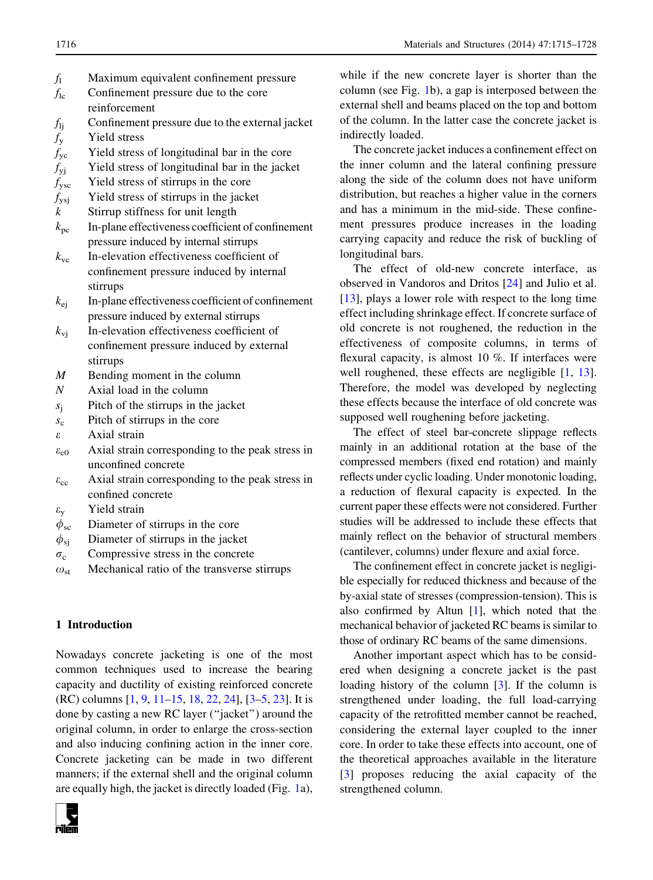- $f_1$  Maximum equivalent confinement pressure
- $f<sub>l</sub>$  Confinement pressure due to the core reinforcement
- $f_{li}$  Confinement pressure due to the external jacket
- $f_{y}$  Yield stress
- $f_{\text{yc}}$  Yield stress of longitudinal bar in the core
- $f_{\rm vi}$  Yield stress of longitudinal bar in the jacket
- $f_{\text{ysc}}$  Yield stress of stirrups in the core
- $f_{\text{vsi}}$  Yield stress of stirrups in the jacket
- $k$  Stirrup stiffness for unit length
- $k_{\text{pc}}$  In-plane effectiveness coefficient of confinement pressure induced by internal stirrups
- $k_{\rm vc}$  In-elevation effectiveness coefficient of confinement pressure induced by internal stirrups
- $k_{ei}$  In-plane effectiveness coefficient of confinement pressure induced by external stirrups
- $k_{\rm vi}$  In-elevation effectiveness coefficient of confinement pressure induced by external stirrups
- M Bending moment in the column
- $N$  Axial load in the column
- $s_i$  Pitch of the stirrups in the jacket
- $s_c$  Pitch of stirrups in the core
- e Axial strain
- $\varepsilon_{c0}$  Axial strain corresponding to the peak stress in unconfined concrete
- $\epsilon_{\rm cc}$  Axial strain corresponding to the peak stress in confined concrete
- $\varepsilon_{\rm v}$  Yield strain
- $\phi_{\rm sc}$  Diameter of stirrups in the core
- $\phi_{sj}$  Diameter of stirrups in the jacket
- $\sigma_c$  Compressive stress in the concrete
- $\omega_{\rm st}$  Mechanical ratio of the transverse stirrups

## 1 Introduction

Nowadays concrete jacketing is one of the most common techniques used to increase the bearing capacity and ductility of existing reinforced concrete (RC) columns [[1,](#page-12-0) [9](#page-12-0), [11–15](#page-12-0), [18](#page-12-0), [22,](#page-13-0) [24\]](#page-13-0), [\[3–5](#page-12-0), [23\]](#page-13-0). It is done by casting a new RC layer (''jacket'') around the original column, in order to enlarge the cross-section and also inducing confining action in the inner core. Concrete jacketing can be made in two different manners; if the external shell and the original column are equally high, the jacket is directly loaded (Fig. [1a](#page-2-0)),



while if the new concrete layer is shorter than the column (see Fig. [1b](#page-2-0)), a gap is interposed between the external shell and beams placed on the top and bottom of the column. In the latter case the concrete jacket is indirectly loaded.

The concrete jacket induces a confinement effect on the inner column and the lateral confining pressure along the side of the column does not have uniform distribution, but reaches a higher value in the corners and has a minimum in the mid-side. These confinement pressures produce increases in the loading carrying capacity and reduce the risk of buckling of longitudinal bars.

The effect of old-new concrete interface, as observed in Vandoros and Dritos [[24\]](#page-13-0) and Julio et al. [\[13](#page-12-0)], plays a lower role with respect to the long time effect including shrinkage effect. If concrete surface of old concrete is not roughened, the reduction in the effectiveness of composite columns, in terms of flexural capacity, is almost 10 %. If interfaces were well roughened, these effects are negligible [\[1](#page-12-0), [13](#page-12-0)]. Therefore, the model was developed by neglecting these effects because the interface of old concrete was supposed well roughening before jacketing.

The effect of steel bar-concrete slippage reflects mainly in an additional rotation at the base of the compressed members (fixed end rotation) and mainly reflects under cyclic loading. Under monotonic loading, a reduction of flexural capacity is expected. In the current paper these effects were not considered. Further studies will be addressed to include these effects that mainly reflect on the behavior of structural members (cantilever, columns) under flexure and axial force.

The confinement effect in concrete jacket is negligible especially for reduced thickness and because of the by-axial state of stresses (compression-tension). This is also confirmed by Altun [[1](#page-12-0)], which noted that the mechanical behavior of jacketed RC beams is similar to those of ordinary RC beams of the same dimensions.

Another important aspect which has to be considered when designing a concrete jacket is the past loading history of the column [\[3](#page-12-0)]. If the column is strengthened under loading, the full load-carrying capacity of the retrofitted member cannot be reached, considering the external layer coupled to the inner core. In order to take these effects into account, one of the theoretical approaches available in the literature [\[3](#page-12-0)] proposes reducing the axial capacity of the strengthened column.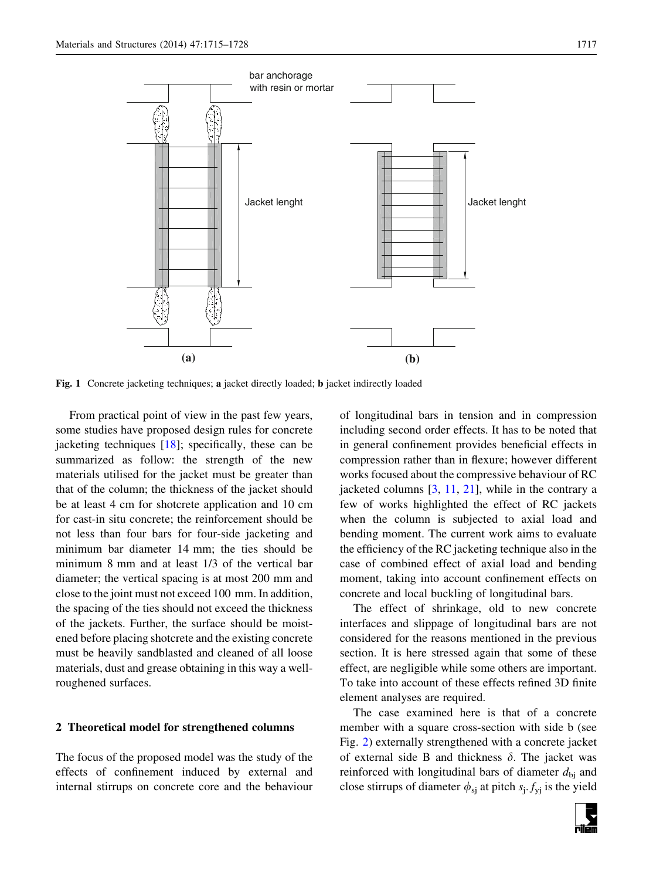

<span id="page-2-0"></span>

bar anchorage with resin or mortar

Fig. 1 Concrete jacketing techniques; a jacket directly loaded; b jacket indirectly loaded

From practical point of view in the past few years, some studies have proposed design rules for concrete iacketing techniques  $[18]$  $[18]$ ; specifically, these can be summarized as follow: the strength of the new materials utilised for the jacket must be greater than that of the column; the thickness of the jacket should be at least 4 cm for shotcrete application and 10 cm for cast-in situ concrete; the reinforcement should be not less than four bars for four-side jacketing and minimum bar diameter 14 mm; the ties should be minimum 8 mm and at least 1/3 of the vertical bar diameter; the vertical spacing is at most 200 mm and close to the joint must not exceed 100 mm. In addition, the spacing of the ties should not exceed the thickness of the jackets. Further, the surface should be moistened before placing shotcrete and the existing concrete must be heavily sandblasted and cleaned of all loose materials, dust and grease obtaining in this way a wellroughened surfaces.

### 2 Theoretical model for strengthened columns

The focus of the proposed model was the study of the effects of confinement induced by external and internal stirrups on concrete core and the behaviour

of longitudinal bars in tension and in compression including second order effects. It has to be noted that in general confinement provides beneficial effects in compression rather than in flexure; however different works focused about the compressive behaviour of RC jacketed columns [[3,](#page-12-0) [11,](#page-12-0) [21](#page-13-0)], while in the contrary a few of works highlighted the effect of RC jackets when the column is subjected to axial load and bending moment. The current work aims to evaluate the efficiency of the RC jacketing technique also in the case of combined effect of axial load and bending moment, taking into account confinement effects on concrete and local buckling of longitudinal bars.

The effect of shrinkage, old to new concrete interfaces and slippage of longitudinal bars are not considered for the reasons mentioned in the previous section. It is here stressed again that some of these effect, are negligible while some others are important. To take into account of these effects refined 3D finite element analyses are required.

The case examined here is that of a concrete member with a square cross-section with side b (see Fig. [2\)](#page-3-0) externally strengthened with a concrete jacket of external side B and thickness  $\delta$ . The jacket was reinforced with longitudinal bars of diameter  $d_{\rm bi}$  and close stirrups of diameter  $\phi_{si}$  at pitch  $s_i$ .  $f_{yi}$  is the yield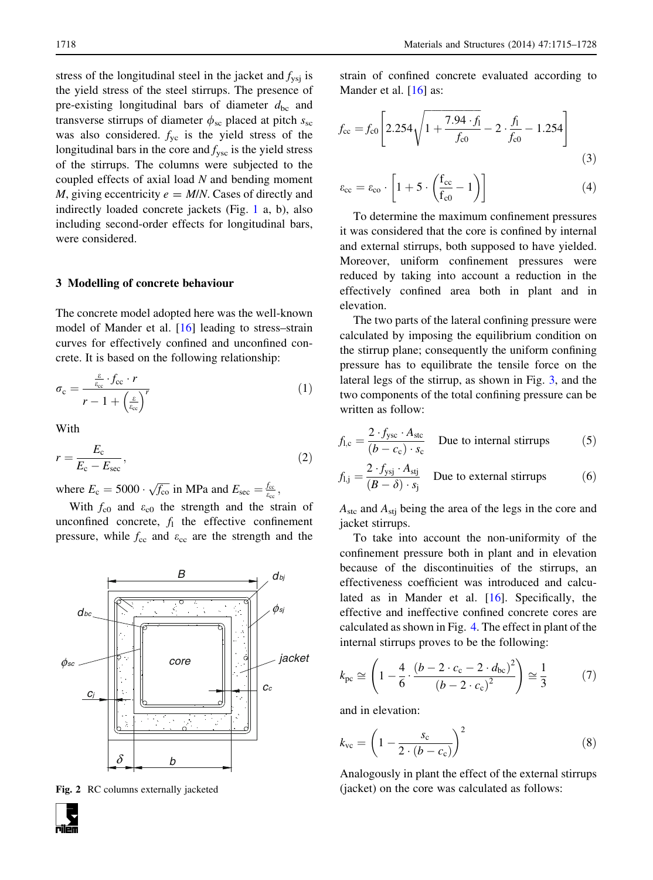<span id="page-3-0"></span>stress of the longitudinal steel in the jacket and  $f_{\text{vsi}}$  is the yield stress of the steel stirrups. The presence of pre-existing longitudinal bars of diameter  $d_{bc}$  and transverse stirrups of diameter  $\phi_{\rm sc}$  placed at pitch  $s_{\rm sc}$ was also considered.  $f_{yc}$  is the yield stress of the longitudinal bars in the core and  $f_{\text{ysc}}$  is the yield stress of the stirrups. The columns were subjected to the coupled effects of axial load  $N$  and bending moment M, giving eccentricity  $e = M/N$ . Cases of directly and indirectly loaded concrete jackets (Fig. [1](#page-2-0) a, b), also including second-order effects for longitudinal bars, were considered.

#### 3 Modelling of concrete behaviour

The concrete model adopted here was the well-known model of Mander et al. [[16\]](#page-12-0) leading to stress–strain curves for effectively confined and unconfined concrete. It is based on the following relationship:

$$
\sigma_{\rm c} = \frac{\frac{\varepsilon}{\varepsilon_{\rm cc}} \cdot f_{\rm cc} \cdot r}{r - 1 + \left(\frac{\varepsilon}{\varepsilon_{\rm cc}}\right)^r} \tag{1}
$$

With

$$
r = \frac{E_{\rm c}}{E_{\rm c} - E_{\rm sec}},\tag{2}
$$

where  $E_c = 5000 \cdot \sqrt{f_{\rm co}}$  in MPa and  $E_{\rm sec} = \frac{f_{\rm ce}}{g_{\rm ec}}$ ,

With  $f_{c0}$  and  $\varepsilon_{c0}$  the strength and the strain of unconfined concrete,  $f_1$  the effective confinement pressure, while  $f_{\rm cc}$  and  $\varepsilon_{\rm cc}$  are the strength and the



Fig. 2 RC columns externally jacketed

strain of confined concrete evaluated according to Mander et al. [[16\]](#page-12-0) as:

$$
f_{\rm cc} = f_{\rm c0} \left[ 2.254 \sqrt{1 + \frac{7.94 \cdot f_1}{f_{\rm c0}}} - 2 \cdot \frac{f_1}{f_{\rm c0}} - 1.254 \right]
$$
(3)

$$
\varepsilon_{cc} = \varepsilon_{co} \cdot \left[ 1 + 5 \cdot \left( \frac{f_{cc}}{f_{c0}} - 1 \right) \right]
$$
 (4)

To determine the maximum confinement pressures it was considered that the core is confined by internal and external stirrups, both supposed to have yielded. Moreover, uniform confinement pressures were reduced by taking into account a reduction in the effectively confined area both in plant and in elevation.

The two parts of the lateral confining pressure were calculated by imposing the equilibrium condition on the stirrup plane; consequently the uniform confining pressure has to equilibrate the tensile force on the lateral legs of the stirrup, as shown in Fig. [3](#page-4-0), and the two components of the total confining pressure can be written as follow:

$$
f_{1,c} = \frac{2 \cdot f_{\text{ysc}} \cdot A_{\text{stc}}}{(b - c_{\text{c}}) \cdot s_{\text{c}}}
$$
 Due to internal stirring (5)

$$
f_{1,j} = \frac{2 \cdot f_{ysj} \cdot A_{stj}}{(B - \delta) \cdot s_j}
$$
 Due to external stirring (6)

 $A_{\rm stc}$  and  $A_{\rm sti}$  being the area of the legs in the core and jacket stirrups.

To take into account the non-uniformity of the confinement pressure both in plant and in elevation because of the discontinuities of the stirrups, an effectiveness coefficient was introduced and calculated as in Mander et al. [[16\]](#page-12-0). Specifically, the effective and ineffective confined concrete cores are calculated as shown in Fig. [4](#page-5-0). The effect in plant of the internal stirrups proves to be the following:

$$
k_{\rm pc} \cong \left(1 - \frac{4}{6} \cdot \frac{(b - 2 \cdot c_{\rm c} - 2 \cdot d_{\rm bc})^2}{(b - 2 \cdot c_{\rm c})^2}\right) \cong \frac{1}{3} \tag{7}
$$

and in elevation:

$$
k_{\rm vc} = \left(1 - \frac{s_{\rm c}}{2 \cdot (b - c_{\rm c})}\right)^2 \tag{8}
$$

Analogously in plant the effect of the external stirrups (jacket) on the core was calculated as follows: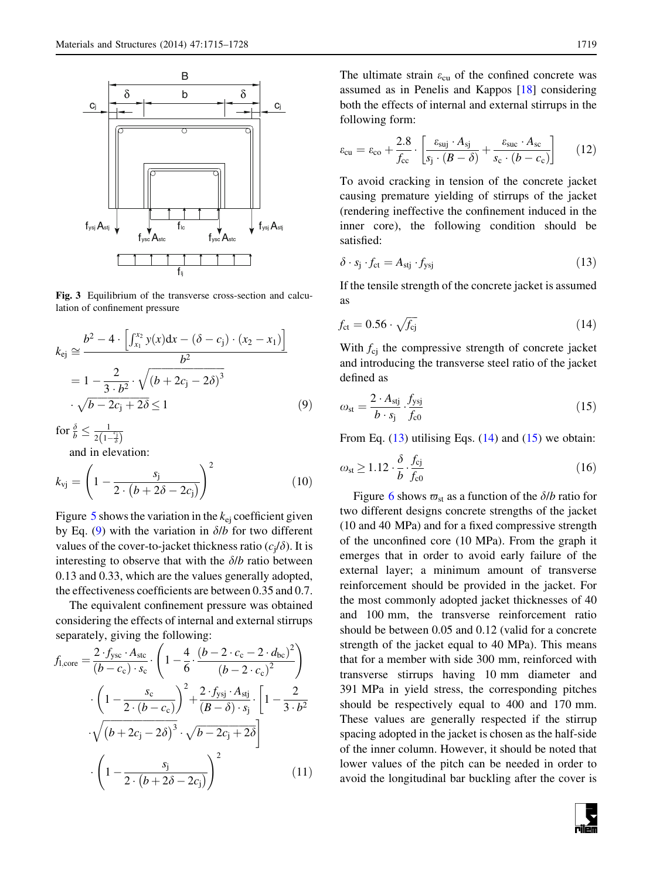<span id="page-4-0"></span>

Fig. 3 Equilibrium of the transverse cross-section and calculation of confinement pressure

$$
k_{\rm ej} \simeq \frac{b^2 - 4 \cdot \left[ \int_{x_1}^{x_2} y(x) dx - (\delta - c_j) \cdot (x_2 - x_1) \right]}{b^2}
$$
  
=  $1 - \frac{2}{3 \cdot b^2} \cdot \sqrt{(b + 2c_j - 2\delta)^3}$   
 $\cdot \sqrt{b - 2c_j + 2\delta} \le 1$  (9)

for  $\frac{\delta}{b} \leq \frac{1}{2(1-\frac{c_j}{\delta})}$ and in elevation:

$$
k_{\rm vj} = \left(1 - \frac{s_{\rm j}}{2 \cdot (b + 2\delta - 2c_{\rm j})}\right)^2
$$
 (10)

Figure [5](#page-5-0) shows the variation in the  $k_{ei}$  coefficient given by Eq. [\(9](#page-3-0)) with the variation in  $\delta/b$  for two different values of the cover-to-jacket thickness ratio  $(c_i/\delta)$ . It is interesting to observe that with the  $\delta/b$  ratio between 0.13 and 0.33, which are the values generally adopted, the effectiveness coefficients are between 0.35 and 0.7.

The equivalent confinement pressure was obtained considering the effects of internal and external stirrups separately, giving the following:

$$
f_{1,\text{core}} = \frac{2 \cdot f_{\text{ysc}} \cdot A_{\text{stc}}}{(b - c_{\text{c}}) \cdot s_{\text{c}}} \cdot \left( 1 - \frac{4}{6} \cdot \frac{(b - 2 \cdot c_{\text{c}} - 2 \cdot d_{\text{bc}})^2}{(b - 2 \cdot c_{\text{c}})^2} \right) \cdot \left( 1 - \frac{s_{\text{c}}}{2 \cdot (b - c_{\text{c}})} \right)^2 + \frac{2 \cdot f_{\text{ysj}} \cdot A_{\text{stj}}}{(B - \delta) \cdot s_{\text{j}}} \cdot \left[ 1 - \frac{2}{3 \cdot b^2} \cdot \sqrt{(b + 2c_{\text{j}} - 2\delta)^3} \cdot \sqrt{b - 2c_{\text{j}} + 2\delta} \right] \cdot \left( 1 - \frac{s_{\text{j}}}{2 \cdot (b + 2\delta - 2c_{\text{j}})} \right)^2 \tag{11}
$$

The ultimate strain  $\varepsilon_{\rm cu}$  of the confined concrete was assumed as in Penelis and Kappos [\[18](#page-12-0)] considering both the effects of internal and external stirrups in the following form:

$$
\varepsilon_{\text{cu}} = \varepsilon_{\text{co}} + \frac{2.8}{f_{\text{cc}}} \cdot \left[ \frac{\varepsilon_{\text{suj}} \cdot A_{\text{sj}}}{s_{\text{j}} \cdot (B - \delta)} + \frac{\varepsilon_{\text{suc}} \cdot A_{\text{sc}}}{s_{\text{c}} \cdot (b - c_{\text{c}})} \right] \tag{12}
$$

To avoid cracking in tension of the concrete jacket causing premature yielding of stirrups of the jacket (rendering ineffective the confinement induced in the inner core), the following condition should be satisfied:

$$
\delta \cdot s_{\mathbf{j}} \cdot f_{\mathbf{ct}} = A_{\mathbf{stj}} \cdot f_{\mathbf{ysj}} \tag{13}
$$

If the tensile strength of the concrete jacket is assumed as

$$
f_{\rm ct} = 0.56 \cdot \sqrt{f_{\rm cj}} \tag{14}
$$

With  $f_{ci}$  the compressive strength of concrete jacket and introducing the transverse steel ratio of the jacket defined as

$$
\omega_{\rm st} = \frac{2 \cdot A_{\rm stj}}{b \cdot s_j} \cdot \frac{f_{\rm ysj}}{f_{\rm c0}} \tag{15}
$$

From Eq.  $(13)$  utilising Eqs.  $(14)$  and  $(15)$  we obtain:

$$
\omega_{\rm st} \ge 1.12 \cdot \frac{\delta}{b} \cdot \frac{f_{\rm cj}}{f_{\rm c0}} \tag{16}
$$

Figure [6](#page-6-0) shows  $\varpi_{st}$  as a function of the  $\delta/b$  ratio for two different designs concrete strengths of the jacket (10 and 40 MPa) and for a fixed compressive strength of the unconfined core (10 MPa). From the graph it emerges that in order to avoid early failure of the external layer; a minimum amount of transverse reinforcement should be provided in the jacket. For the most commonly adopted jacket thicknesses of 40 and 100 mm, the transverse reinforcement ratio should be between 0.05 and 0.12 (valid for a concrete strength of the jacket equal to 40 MPa). This means that for a member with side 300 mm, reinforced with transverse stirrups having 10 mm diameter and 391 MPa in yield stress, the corresponding pitches should be respectively equal to 400 and 170 mm. These values are generally respected if the stirrup spacing adopted in the jacket is chosen as the half-side of the inner column. However, it should be noted that lower values of the pitch can be needed in order to avoid the longitudinal bar buckling after the cover is

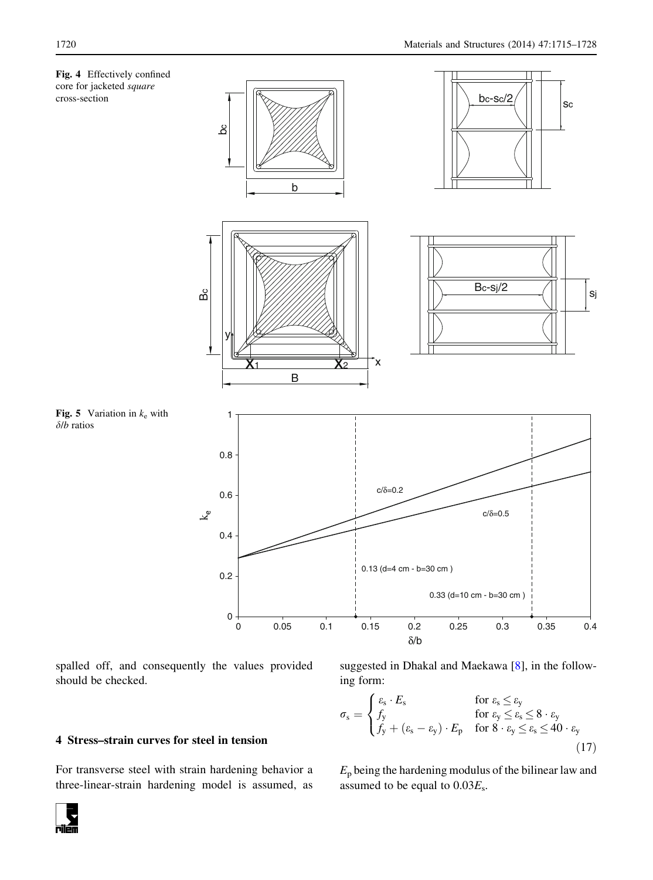<span id="page-5-0"></span>

spalled off, and consequently the values provided should be checked.

suggested in Dhakal and Maekawa [[8\]](#page-12-0), in the following form:

$$
\sigma_{s} = \begin{cases}\n\varepsilon_{s} \cdot E_{s} & \text{for } \varepsilon_{s} \leq \varepsilon_{y} \\
f_{y} & \text{for } \varepsilon_{y} \leq \varepsilon_{s} \leq 8 \cdot \varepsilon_{y} \\
f_{y} + (\varepsilon_{s} - \varepsilon_{y}) \cdot E_{p} & \text{for } 8 \cdot \varepsilon_{y} \leq \varepsilon_{s} \leq 40 \cdot \varepsilon_{y} \\
\end{cases}
$$
\n(17)

### 4 Stress–strain curves for steel in tension

For transverse steel with strain hardening behavior a three-linear-strain hardening model is assumed, as

$$
E_p
$$
 being the hardening modulus of the bilinear law and assumed to be equal to  $0.03E_s$ .

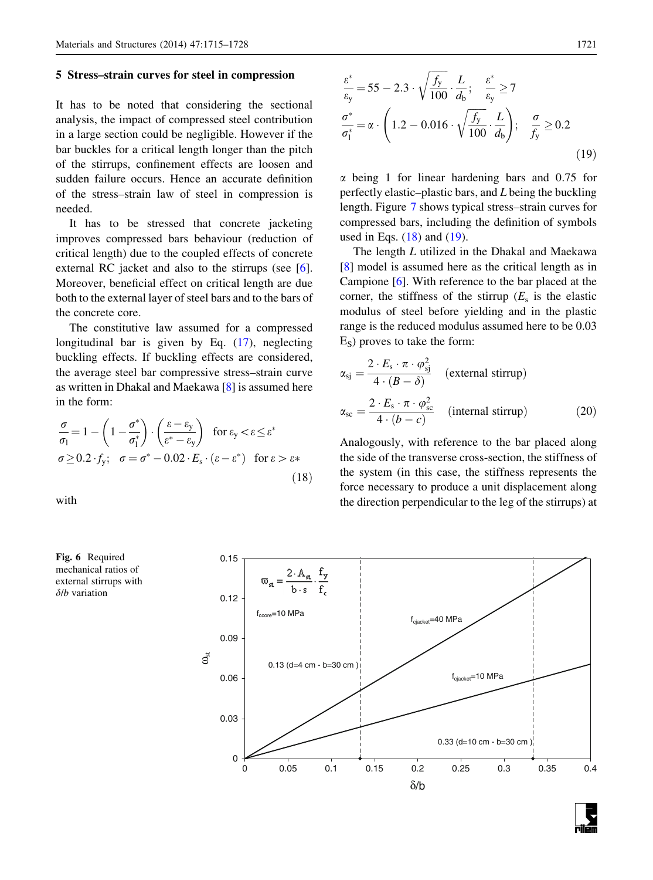#### <span id="page-6-0"></span>5 Stress–strain curves for steel in compression

It has to be noted that considering the sectional analysis, the impact of compressed steel contribution in a large section could be negligible. However if the bar buckles for a critical length longer than the pitch of the stirrups, confinement effects are loosen and sudden failure occurs. Hence an accurate definition of the stress–strain law of steel in compression is needed.

It has to be stressed that concrete jacketing improves compressed bars behaviour (reduction of critical length) due to the coupled effects of concrete external RC jacket and also to the stirrups (see [\[6](#page-12-0)]. Moreover, beneficial effect on critical length are due both to the external layer of steel bars and to the bars of the concrete core.

The constitutive law assumed for a compressed longitudinal bar is given by Eq. ([17\)](#page-5-0), neglecting buckling effects. If buckling effects are considered, the average steel bar compressive stress–strain curve as written in Dhakal and Maekawa [\[8](#page-12-0)] is assumed here in the form:

$$
\frac{\sigma}{\sigma_1} = 1 - \left(1 - \frac{\sigma^*}{\sigma_1^*}\right) \cdot \left(\frac{\varepsilon - \varepsilon_y}{\varepsilon^* - \varepsilon_y}\right) \text{ for } \varepsilon_y < \varepsilon \le \varepsilon^*
$$
\n
$$
\sigma \ge 0.2 \cdot f_y; \quad \sigma = \sigma^* - 0.02 \cdot E_s \cdot (\varepsilon - \varepsilon^*) \text{ for } \varepsilon > \varepsilon^*
$$
\n
$$
\tag{18}
$$

with





 $\alpha$  being 1 for linear hardening bars and 0.75 for perfectly elastic–plastic bars, and L being the buckling length. Figure [7](#page-7-0) shows typical stress–strain curves for compressed bars, including the definition of symbols used in Eqs.  $(18)$  and  $(19)$ .

The length L utilized in the Dhakal and Maekawa [\[8](#page-12-0)] model is assumed here as the critical length as in Campione [\[6](#page-12-0)]. With reference to the bar placed at the corner, the stiffness of the stirrup  $(E_s$  is the elastic modulus of steel before yielding and in the plastic range is the reduced modulus assumed here to be 0.03  $E<sub>s</sub>$ ) proves to take the form:

$$
\alpha_{sj} = \frac{2 \cdot E_s \cdot \pi \cdot \varphi_{sj}^2}{4 \cdot (B - \delta)}
$$
 (external stirrup)  

$$
\alpha_{sc} = \frac{2 \cdot E_s \cdot \pi \cdot \varphi_{sc}^2}{4 \cdot (b - c)}
$$
 (internal stirrup) (20)

Analogously, with reference to the bar placed along the side of the transverse cross-section, the stiffness of the system (in this case, the stiffness represents the force necessary to produce a unit displacement along the direction perpendicular to the leg of the stirrups) at

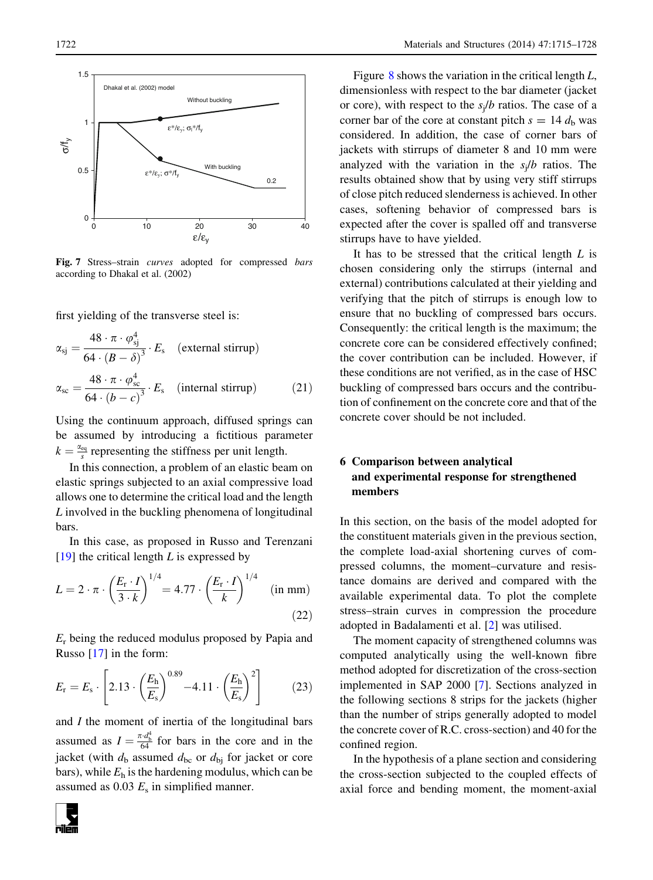<span id="page-7-0"></span>

Fig. 7 Stress–strain *curves* adopted for compressed *bars* according to Dhakal et al. (2002)

first yielding of the transverse steel is:

$$
\alpha_{sj} = \frac{48 \cdot \pi \cdot \varphi_{sj}^4}{64 \cdot (B - \delta)^3} \cdot E_s \quad \text{(external stirrup)}
$$
\n
$$
\alpha_{sc} = \frac{48 \cdot \pi \cdot \varphi_{sc}^4}{64 \cdot (b - c)^3} \cdot E_s \quad \text{(internal stirrup)} \tag{21}
$$

Using the continuum approach, diffused springs can be assumed by introducing a fictitious parameter  $k = \frac{\alpha_{eq}}{s}$  representing the stiffness per unit length.

In this connection, a problem of an elastic beam on elastic springs subjected to an axial compressive load allows one to determine the critical load and the length L involved in the buckling phenomena of longitudinal bars.

In this case, as proposed in Russo and Terenzani [\[19](#page-12-0)] the critical length  $L$  is expressed by

$$
L = 2 \cdot \pi \cdot \left(\frac{E_{\rm r} \cdot I}{3 \cdot k}\right)^{1/4} = 4.77 \cdot \left(\frac{E_{\rm r} \cdot I}{k}\right)^{1/4} \quad \text{(in mm)}
$$
\n(22)

 $E_r$  being the reduced modulus proposed by Papia and Russo [\[17](#page-12-0)] in the form:

$$
E_{\rm r} = E_{\rm s} \cdot \left[ 2.13 \cdot \left( \frac{E_{\rm h}}{E_{\rm s}} \right)^{0.89} - 4.11 \cdot \left( \frac{E_{\rm h}}{E_{\rm s}} \right)^2 \right] \tag{23}
$$

and I the moment of inertia of the longitudinal bars assumed as  $I = \frac{\pi d_b^4}{64}$  for bars in the core and in the jacket (with  $d_b$  assumed  $d_{bc}$  or  $d_{bi}$  for jacket or core bars), while  $E<sub>h</sub>$  is the hardening modulus, which can be assumed as  $0.03 E_s$  in simplified manner.



Figure [8](#page-8-0) shows the variation in the critical length  $L$ , dimensionless with respect to the bar diameter (jacket or core), with respect to the  $s_i/b$  ratios. The case of a corner bar of the core at constant pitch  $s = 14 d_b$  was considered. In addition, the case of corner bars of jackets with stirrups of diameter 8 and 10 mm were analyzed with the variation in the  $s_i/b$  ratios. The results obtained show that by using very stiff stirrups of close pitch reduced slenderness is achieved. In other cases, softening behavior of compressed bars is expected after the cover is spalled off and transverse stirrups have to have yielded.

It has to be stressed that the critical length  $L$  is chosen considering only the stirrups (internal and external) contributions calculated at their yielding and verifying that the pitch of stirrups is enough low to ensure that no buckling of compressed bars occurs. Consequently: the critical length is the maximum; the concrete core can be considered effectively confined; the cover contribution can be included. However, if these conditions are not verified, as in the case of HSC buckling of compressed bars occurs and the contribution of confinement on the concrete core and that of the concrete cover should be not included.

### 6 Comparison between analytical and experimental response for strengthened members

In this section, on the basis of the model adopted for the constituent materials given in the previous section, the complete load-axial shortening curves of compressed columns, the moment–curvature and resistance domains are derived and compared with the available experimental data. To plot the complete stress–strain curves in compression the procedure adopted in Badalamenti et al. [\[2](#page-12-0)] was utilised.

The moment capacity of strengthened columns was computed analytically using the well-known fibre method adopted for discretization of the cross-section implemented in SAP 2000 [\[7](#page-12-0)]. Sections analyzed in the following sections 8 strips for the jackets (higher than the number of strips generally adopted to model the concrete cover of R.C. cross-section) and 40 for the confined region.

In the hypothesis of a plane section and considering the cross-section subjected to the coupled effects of axial force and bending moment, the moment-axial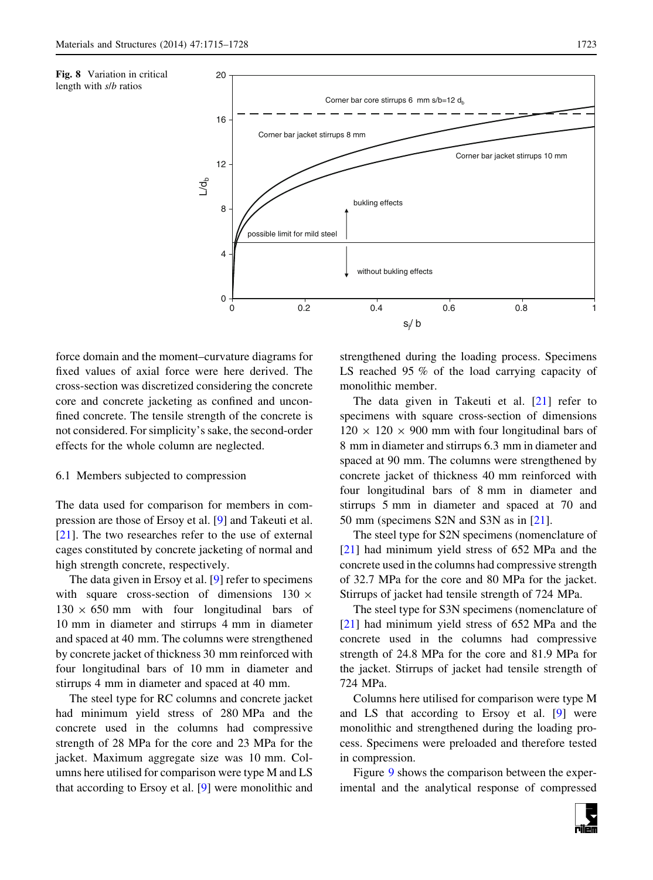length with s/b ratios

<span id="page-8-0"></span>

force domain and the moment–curvature diagrams for fixed values of axial force were here derived. The cross-section was discretized considering the concrete core and concrete jacketing as confined and unconfined concrete. The tensile strength of the concrete is not considered. For simplicity's sake, the second-order effects for the whole column are neglected.

### 6.1 Members subjected to compression

The data used for comparison for members in compression are those of Ersoy et al. [\[9](#page-12-0)] and Takeuti et al. [\[21](#page-13-0)]. The two researches refer to the use of external cages constituted by concrete jacketing of normal and high strength concrete, respectively.

The data given in Ersoy et al. [\[9](#page-12-0)] refer to specimens with square cross-section of dimensions  $130 \times$  $130 \times 650$  mm with four longitudinal bars of 10 mm in diameter and stirrups 4 mm in diameter and spaced at 40 mm. The columns were strengthened by concrete jacket of thickness 30 mm reinforced with four longitudinal bars of 10 mm in diameter and stirrups 4 mm in diameter and spaced at 40 mm.

The steel type for RC columns and concrete jacket had minimum yield stress of 280 MPa and the concrete used in the columns had compressive strength of 28 MPa for the core and 23 MPa for the jacket. Maximum aggregate size was 10 mm. Columns here utilised for comparison were type M and LS that according to Ersoy et al. [[9\]](#page-12-0) were monolithic and strengthened during the loading process. Specimens LS reached 95 % of the load carrying capacity of monolithic member.

The data given in Takeuti et al. [\[21](#page-13-0)] refer to specimens with square cross-section of dimensions  $120 \times 120 \times 900$  mm with four longitudinal bars of 8 mm in diameter and stirrups 6.3 mm in diameter and spaced at 90 mm. The columns were strengthened by concrete jacket of thickness 40 mm reinforced with four longitudinal bars of 8 mm in diameter and stirrups 5 mm in diameter and spaced at 70 and 50 mm (specimens S2N and S3N as in [[21\]](#page-13-0).

The steel type for S2N specimens (nomenclature of [\[21](#page-13-0)] had minimum yield stress of 652 MPa and the concrete used in the columns had compressive strength of 32.7 MPa for the core and 80 MPa for the jacket. Stirrups of jacket had tensile strength of 724 MPa.

The steel type for S3N specimens (nomenclature of [\[21](#page-13-0)] had minimum yield stress of 652 MPa and the concrete used in the columns had compressive strength of 24.8 MPa for the core and 81.9 MPa for the jacket. Stirrups of jacket had tensile strength of 724 MPa.

Columns here utilised for comparison were type M and LS that according to Ersoy et al. [\[9](#page-12-0)] were monolithic and strengthened during the loading process. Specimens were preloaded and therefore tested in compression.

Figure [9](#page-9-0) shows the comparison between the experimental and the analytical response of compressed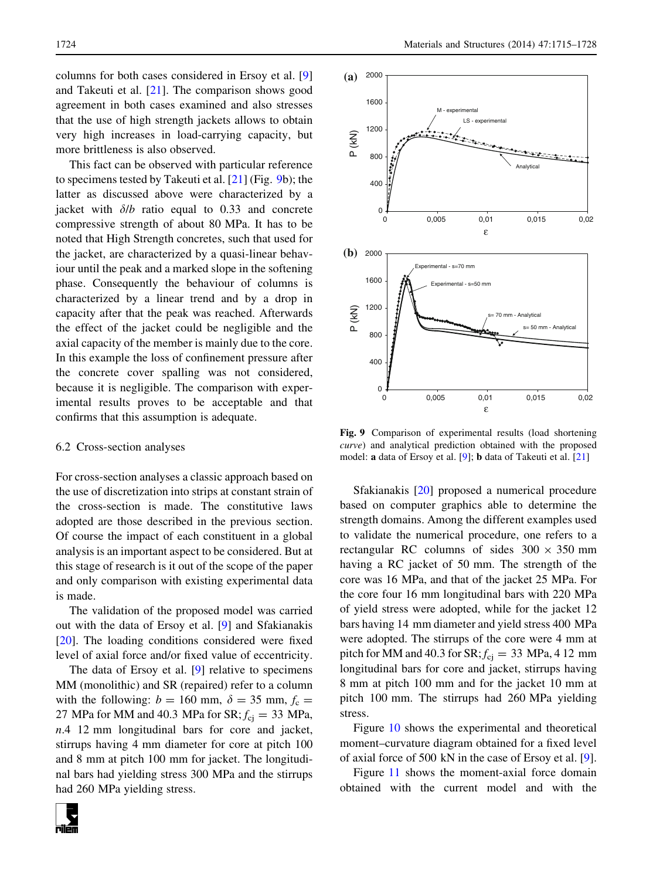columns for both cases considered in Ersoy et al. [[9\]](#page-12-0) and Takeuti et al.  $[21]$  $[21]$ . The comparison shows good agreement in both cases examined and also stresses that the use of high strength jackets allows to obtain very high increases in load-carrying capacity, but more brittleness is also observed.

This fact can be observed with particular reference to specimens tested by Takeuti et al. [\[21](#page-13-0)] (Fig. 9b); the latter as discussed above were characterized by a jacket with  $\delta/b$  ratio equal to 0.33 and concrete compressive strength of about 80 MPa. It has to be noted that High Strength concretes, such that used for the jacket, are characterized by a quasi-linear behaviour until the peak and a marked slope in the softening phase. Consequently the behaviour of columns is characterized by a linear trend and by a drop in capacity after that the peak was reached. Afterwards the effect of the jacket could be negligible and the axial capacity of the member is mainly due to the core. In this example the loss of confinement pressure after the concrete cover spalling was not considered, because it is negligible. The comparison with experimental results proves to be acceptable and that confirms that this assumption is adequate.

#### 6.2 Cross-section analyses

For cross-section analyses a classic approach based on the use of discretization into strips at constant strain of the cross-section is made. The constitutive laws adopted are those described in the previous section. Of course the impact of each constituent in a global analysis is an important aspect to be considered. But at this stage of research is it out of the scope of the paper and only comparison with existing experimental data is made.

The validation of the proposed model was carried out with the data of Ersoy et al. [[9\]](#page-12-0) and Sfakianakis [\[20](#page-12-0)]. The loading conditions considered were fixed level of axial force and/or fixed value of eccentricity.

The data of Ersoy et al. [[9\]](#page-12-0) relative to specimens MM (monolithic) and SR (repaired) refer to a column with the following:  $b = 160$  mm,  $\delta = 35$  mm,  $f_c =$ 27 MPa for MM and 40.3 MPa for  $SR$ ;  $f_{ci} = 33$  MPa, n.4 12 mm longitudinal bars for core and jacket, stirrups having 4 mm diameter for core at pitch 100 and 8 mm at pitch 100 mm for jacket. The longitudinal bars had yielding stress 300 MPa and the stirrups had 260 MPa yielding stress.

<span id="page-9-0"></span>



Fig. 9 Comparison of experimental results (load shortening curve) and analytical prediction obtained with the proposed model: a data of Ersoy et al. [[9\]](#page-12-0); b data of Takeuti et al. [[21](#page-13-0)]

Sfakianakis [\[20](#page-12-0)] proposed a numerical procedure based on computer graphics able to determine the strength domains. Among the different examples used to validate the numerical procedure, one refers to a rectangular RC columns of sides  $300 \times 350$  mm having a RC jacket of 50 mm. The strength of the core was 16 MPa, and that of the jacket 25 MPa. For the core four 16 mm longitudinal bars with 220 MPa of yield stress were adopted, while for the jacket 12 bars having 14 mm diameter and yield stress 400 MPa were adopted. The stirrups of the core were 4 mm at pitch for MM and 40.3 for  $SR$ ;  $f_{ci} = 33$  MPa, 4 12 mm longitudinal bars for core and jacket, stirrups having 8 mm at pitch 100 mm and for the jacket 10 mm at pitch 100 mm. The stirrups had 260 MPa yielding stress.

Figure [10](#page-10-0) shows the experimental and theoretical moment–curvature diagram obtained for a fixed level of axial force of 500 kN in the case of Ersoy et al. [\[9](#page-12-0)].

Figure [11](#page-10-0) shows the moment-axial force domain obtained with the current model and with the

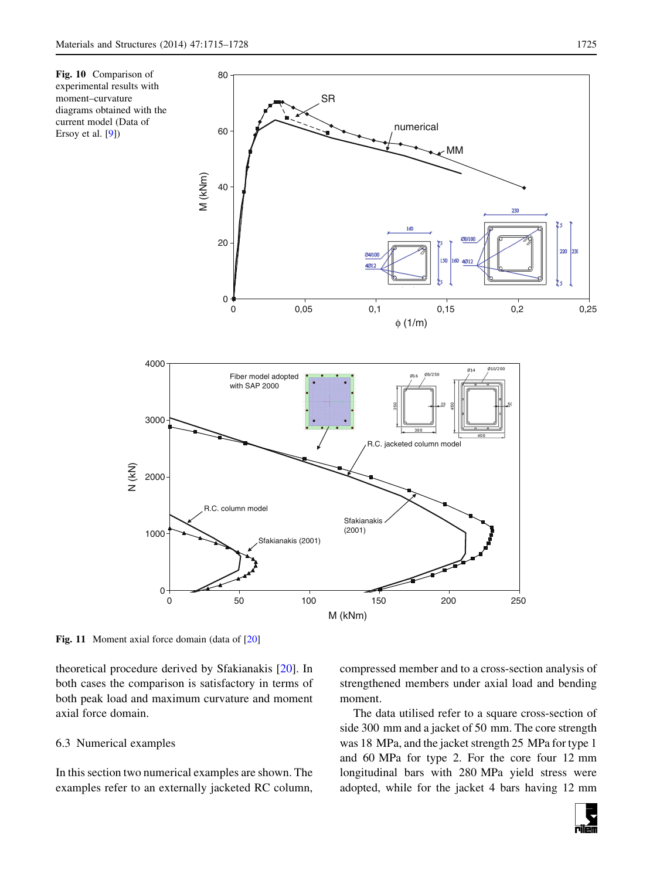<span id="page-10-0"></span>

0 50 100 150 200 250 M (kNm)

Fig. 11 Moment axial force domain (data of [\[20\]](#page-12-0)

0

theoretical procedure derived by Sfakianakis [[20\]](#page-12-0). In both cases the comparison is satisfactory in terms of both peak load and maximum curvature and moment axial force domain.

### 6.3 Numerical examples

In this section two numerical examples are shown. The examples refer to an externally jacketed RC column, compressed member and to a cross-section analysis of strengthened members under axial load and bending moment.

The data utilised refer to a square cross-section of side 300 mm and a jacket of 50 mm. The core strength was 18 MPa, and the jacket strength 25 MPa for type 1 and 60 MPa for type 2. For the core four 12 mm longitudinal bars with 280 MPa yield stress were adopted, while for the jacket 4 bars having 12 mm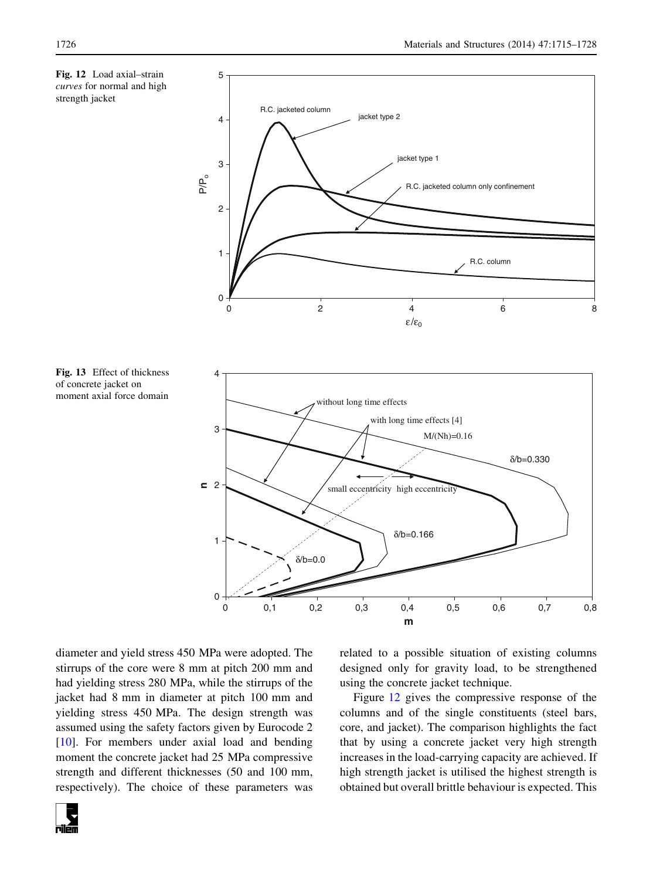<span id="page-11-0"></span>



Fig. 13 Effect of thickness of concrete jacket on moment axial force domain



diameter and yield stress 450 MPa were adopted. The stirrups of the core were 8 mm at pitch 200 mm and had yielding stress 280 MPa, while the stirrups of the jacket had 8 mm in diameter at pitch 100 mm and yielding stress 450 MPa. The design strength was assumed using the safety factors given by Eurocode 2 [\[10](#page-12-0)]. For members under axial load and bending moment the concrete jacket had 25 MPa compressive strength and different thicknesses (50 and 100 mm, respectively). The choice of these parameters was related to a possible situation of existing columns designed only for gravity load, to be strengthened using the concrete jacket technique.

Figure 12 gives the compressive response of the columns and of the single constituents (steel bars, core, and jacket). The comparison highlights the fact that by using a concrete jacket very high strength increases in the load-carrying capacity are achieved. If high strength jacket is utilised the highest strength is obtained but overall brittle behaviour is expected. This

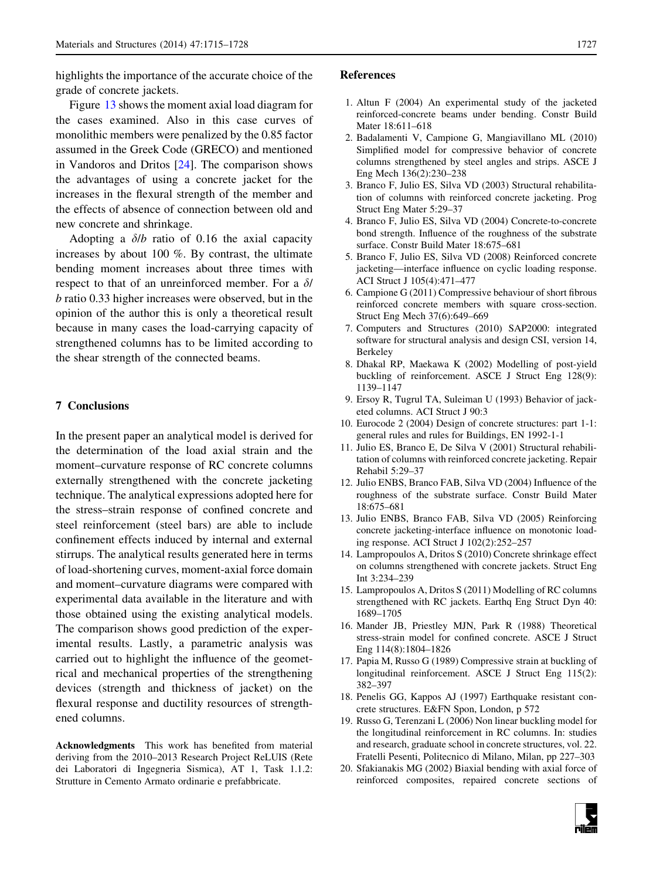<span id="page-12-0"></span>highlights the importance of the accurate choice of the grade of concrete jackets.

Figure [13](#page-11-0) shows the moment axial load diagram for the cases examined. Also in this case curves of monolithic members were penalized by the 0.85 factor assumed in the Greek Code (GRECO) and mentioned in Vandoros and Dritos [\[24](#page-13-0)]. The comparison shows the advantages of using a concrete jacket for the increases in the flexural strength of the member and the effects of absence of connection between old and new concrete and shrinkage.

Adopting a  $\delta/b$  ratio of 0.16 the axial capacity increases by about 100 %. By contrast, the ultimate bending moment increases about three times with respect to that of an unreinforced member. For a  $\delta$ / b ratio 0.33 higher increases were observed, but in the opinion of the author this is only a theoretical result because in many cases the load-carrying capacity of strengthened columns has to be limited according to the shear strength of the connected beams.

### 7 Conclusions

In the present paper an analytical model is derived for the determination of the load axial strain and the moment–curvature response of RC concrete columns externally strengthened with the concrete jacketing technique. The analytical expressions adopted here for the stress–strain response of confined concrete and steel reinforcement (steel bars) are able to include confinement effects induced by internal and external stirrups. The analytical results generated here in terms of load-shortening curves, moment-axial force domain and moment–curvature diagrams were compared with experimental data available in the literature and with those obtained using the existing analytical models. The comparison shows good prediction of the experimental results. Lastly, a parametric analysis was carried out to highlight the influence of the geometrical and mechanical properties of the strengthening devices (strength and thickness of jacket) on the flexural response and ductility resources of strengthened columns.

Acknowledgments This work has benefited from material deriving from the 2010–2013 Research Project ReLUIS (Rete dei Laboratori di Ingegneria Sismica), AT 1, Task 1.1.2: Strutture in Cemento Armato ordinarie e prefabbricate.

### References

- 1. Altun F (2004) An experimental study of the jacketed reinforced-concrete beams under bending. Constr Build Mater 18:611–618
- 2. Badalamenti V, Campione G, Mangiavillano ML (2010) Simplified model for compressive behavior of concrete columns strengthened by steel angles and strips. ASCE J Eng Mech 136(2):230–238
- 3. Branco F, Julio ES, Silva VD (2003) Structural rehabilitation of columns with reinforced concrete jacketing. Prog Struct Eng Mater 5:29–37
- 4. Branco F, Julio ES, Silva VD (2004) Concrete-to-concrete bond strength. Influence of the roughness of the substrate surface. Constr Build Mater 18:675–681
- 5. Branco F, Julio ES, Silva VD (2008) Reinforced concrete jacketing—interface influence on cyclic loading response. ACI Struct J 105(4):471–477
- 6. Campione G (2011) Compressive behaviour of short fibrous reinforced concrete members with square cross-section. Struct Eng Mech 37(6):649–669
- 7. Computers and Structures (2010) SAP2000: integrated software for structural analysis and design CSI, version 14, Berkeley
- 8. Dhakal RP, Maekawa K (2002) Modelling of post-yield buckling of reinforcement. ASCE J Struct Eng 128(9): 1139–1147
- 9. Ersoy R, Tugrul TA, Suleiman U (1993) Behavior of jacketed columns. ACI Struct J 90:3
- 10. Eurocode 2 (2004) Design of concrete structures: part 1-1: general rules and rules for Buildings, EN 1992-1-1
- 11. Julio ES, Branco E, De Silva V (2001) Structural rehabilitation of columns with reinforced concrete jacketing. Repair Rehabil 5:29–37
- 12. Julio ENBS, Branco FAB, Silva VD (2004) Influence of the roughness of the substrate surface. Constr Build Mater 18:675–681
- 13. Julio ENBS, Branco FAB, Silva VD (2005) Reinforcing concrete jacketing-interface influence on monotonic loading response. ACI Struct J 102(2):252–257
- 14. Lampropoulos A, Dritos S (2010) Concrete shrinkage effect on columns strengthened with concrete jackets. Struct Eng Int 3:234–239
- 15. Lampropoulos A, Dritos S (2011) Modelling of RC columns strengthened with RC jackets. Earthq Eng Struct Dyn 40: 1689–1705
- 16. Mander JB, Priestley MJN, Park R (1988) Theoretical stress-strain model for confined concrete. ASCE J Struct Eng 114(8):1804–1826
- 17. Papia M, Russo G (1989) Compressive strain at buckling of longitudinal reinforcement. ASCE J Struct Eng 115(2): 382–397
- 18. Penelis GG, Kappos AJ (1997) Earthquake resistant concrete structures. E&FN Spon, London, p 572
- 19. Russo G, Terenzani L (2006) Non linear buckling model for the longitudinal reinforcement in RC columns. In: studies and research, graduate school in concrete structures, vol. 22. Fratelli Pesenti, Politecnico di Milano, Milan, pp 227–303
- 20. Sfakianakis MG (2002) Biaxial bending with axial force of reinforced composites, repaired concrete sections of